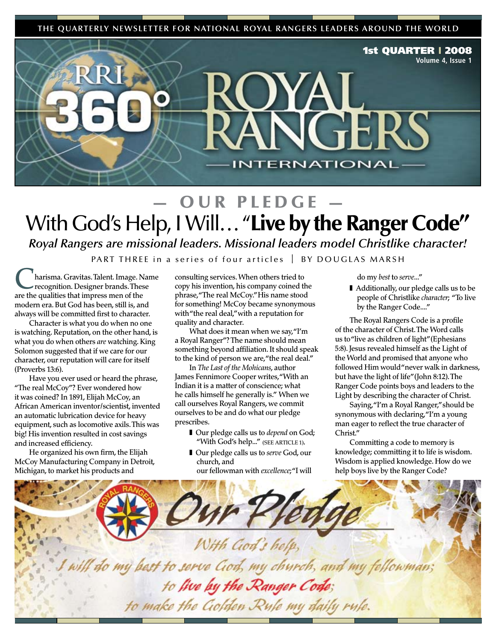**THE QUARTERLY NEWSLETTER FOR NATIONAL ROYAL RANGERS LEADERS AROUND THE WORLD**



# OUR PLEDGE With God's Help, I Will... "Live by the Ranger Code"

*Royal Rangers are missional leaders. Missional leaders model Christlike character!*

PART THREE in a series of four articles  $\parallel$  BY DOUGLAS MARSH

harisma. Gravitas. Talent. Image. Name recognition. Designer brands. These are the qualities that impress men of the modern era. But God has been, still is, and always will be committed first to character.

Character is what you do when no one is watching. Reputation, on the other hand, is what you do when others *are* watching. King Solomon suggested that if we care for our character, our reputation will care for itself (Proverbs 13:6).

Have you ever used or heard the phrase, "The real McCoy"? Ever wondered how it was coined? In 1891, Elijah McCoy, an African American inventor/scientist, invented an automatic lubrication device for heavy equipment, such as locomotive axils. This was big! His invention resulted in cost savings and increased efficiency.

He organized his own firm, the Elijah McCoy Manufacturing Company in Detroit, Michigan, to market his products and

consulting services. When others tried to copy his invention, his company coined the phrase, "The real McCoy." His name stood for something! McCoy became synonymous with "the real deal," with a reputation for quality and character.

What does it mean when we say, "I'm a Royal Ranger"? The name should mean something beyond affiliation. It should speak to the kind of person we are, "the real deal."

In *The Last of the Mohicans*, author James Fennimore Cooper writes, "With an Indian it is a matter of conscience; what he calls himself he generally is." When we call ourselves Royal Rangers, we commit ourselves to be and do what our pledge prescribes.

- Our pledge calls us to *depend* on God; "With God's help..." (SEE ARTICLE 1).
- Our pledge calls us to *serve* God, our church, and

our fellowman with *excellence*; "I will

do my *best* to *serve*..."

■ Additionally, our pledge calls us to be people of Christlike *character*; "To live by the Ranger Code...."

The Royal Rangers Code is a profile of the character of Christ. The Word calls us to "live as children of light" (Ephesians 5:8). Jesus revealed himself as the Light of the World and promised that anyone who followed Him would "never walk in darkness, but have the light of life" (John 8:12). The Ranger Code points boys and leaders to the Light by describing the character of Christ.

Saying, "I'm a Royal Ranger," should be synonymous with declaring, "I'm a young man eager to reflect the true character of Christ."

Committing a code to memory is knowledge; committing it to life is wisdom. Wisdom is applied knowledge. How do we help boys live by the Ranger Code?

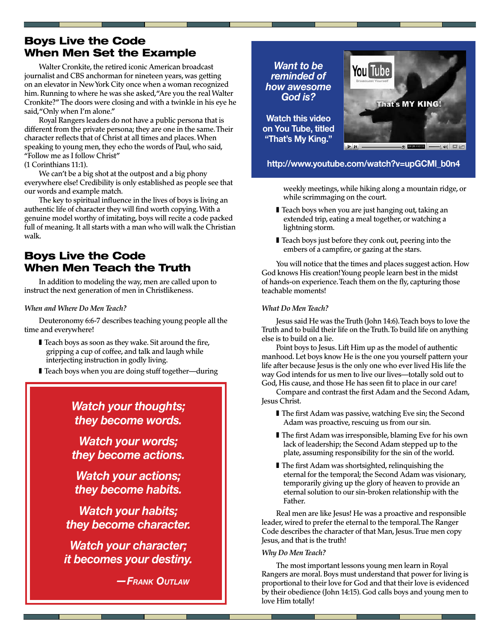### Boys Live the Code When Men Set the Example

Walter Cronkite, the retired iconic American broadcast journalist and CBS anchorman for nineteen years, was getting on an elevator in New York City once when a woman recognized him. Running to where he was she asked, "Are you the real Walter Cronkite?" The doors were closing and with a twinkle in his eye he said, "Only when I'm alone."

Royal Rangers leaders do not have a public persona that is different from the private persona; they are one in the same. Their character reflects that of Christ at all times and places. When speaking to young men, they echo the words of Paul, who said, "Follow me as I follow Christ"

(1 Corinthians 11:1).

We can't be a big shot at the outpost and a big phony everywhere else! Credibility is only established as people see that our words and example match.

The key to spiritual influence in the lives of boys is living an authentic life of character they will find worth copying. With a genuine model worthy of imitating, boys will recite a code packed full of meaning. It all starts with a man who will walk the Christian walk.

### Boys Live the Code When Men Teach the Truth

In addition to modeling the way, men are called upon to instruct the next generation of men in Christlikeness.

#### *When and Where Do Men Teach?*

Deuteronomy 6:6-7 describes teaching young people all the time and everywhere!

- Teach boys as soon as they wake. Sit around the fire, gripping a cup of coffee, and talk and laugh while interjecting instruction in godly living.
- Teach boys when you are doing stuff together—during

*Watch your thoughts; they become words.* 

*Watch your words; they become actions.* 

*Watch your actions; they become habits.* 

*Watch your habits; they become character.*

*Watch your character; it becomes your destiny.*

*—Frank Outlaw*

*Want to be reminded of how awesome God is?* 

**Watch this video on You Tube, titled "That's My King."**



**http://www.youtube.com/watch?v=upGCMl\_b0n4**

weekly meetings, while hiking along a mountain ridge, or while scrimmaging on the court.

- Teach boys when you are just hanging out, taking an extended trip, eating a meal together, or watching a lightning storm.
- Teach boys just before they conk out, peering into the embers of a campfire, or gazing at the stars.

You will notice that the times and places suggest action. How God knows His creation! Young people learn best in the midst of hands-on experience. Teach them on the fly, capturing those teachable moments!

#### *What Do Men Teach?*

Jesus said He was the Truth (John 14:6). Teach boys to love the Truth and to build their life on the Truth. To build life on anything else is to build on a lie.

Point boys to Jesus. Lift Him up as the model of authentic manhood. Let boys know He is the one you yourself pattern your life after because Jesus is the only one who ever lived His life the way God intends for us men to live our lives—totally sold out to God, His cause, and those He has seen fit to place in our care!

Compare and contrast the first Adam and the Second Adam, Jesus Christ.

- The first Adam was passive, watching Eve sin; the Second Adam was proactive, rescuing us from our sin.
- The first Adam was irresponsible, blaming Eve for his own lack of leadership; the Second Adam stepped up to the plate, assuming responsibility for the sin of the world.
- The first Adam was shortsighted, relinquishing the eternal for the temporal; the Second Adam was visionary, temporarily giving up the glory of heaven to provide an eternal solution to our sin-broken relationship with the Father.

Real men are like Jesus! He was a proactive and responsible leader, wired to prefer the eternal to the temporal. The Ranger Code describes the character of that Man, Jesus. True men copy Jesus, and that is the truth!

#### *Why Do Men Teach?*

The most important lessons young men learn in Royal Rangers are moral. Boys must understand that power for living is proportional to their love for God and that their love is evidenced by their obedience (John 14:15). God calls boys and young men to love Him totally!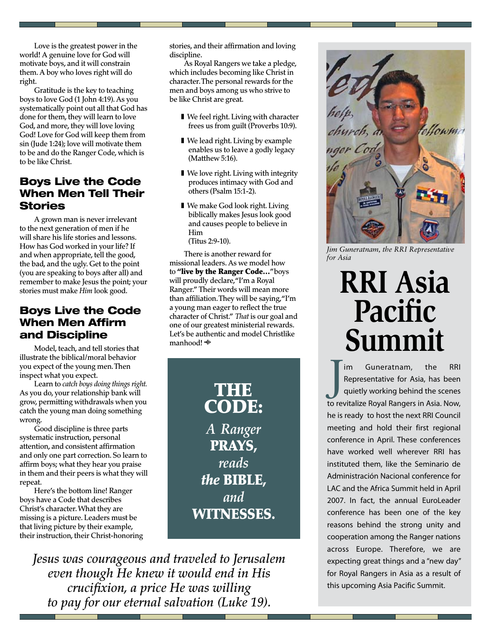Love is the greatest power in the world! A genuine love for God will motivate boys, and it will constrain them. A boy who loves right will do right.

Gratitude is the key to teaching boys to love God (1 John 4:19). As you systematically point out all that God has done for them, they will learn to love God, and more, they will love loving God! Love for God will keep them from sin (Jude 1:24); love will motivate them to be and do the Ranger Code, which is to be like Christ.

### Boys Live the Code When Men Tell Their **Stories**

A grown man is never irrelevant to the next generation of men if he will share his life stories and lessons. How has God worked in your life? If and when appropriate, tell the good, the bad, and the ugly. Get to the point (you are speaking to boys after all) and remember to make Jesus the point; your stories must make *Him* look good.

### Boys Live the Code When Men Affirm and Discipline

Model, teach, and tell stories that illustrate the biblical/moral behavior you expect of the young men. Then inspect what you expect.

Learn to *catch boys doing things right.*  As you do, your relationship bank will grow, permitting withdrawals when you catch the young man doing something wrong.

Good discipline is three parts systematic instruction, personal attention, and consistent affirmation and only one part correction. So learn to affirm boys; what they hear you praise in them and their peers is what they will repeat.

Here's the bottom line! Ranger boys have a Code that describes Christ's character. What they are missing is a picture. Leaders must be that living picture by their example, their instruction, their Christ-honoring stories, and their affirmation and loving discipline.

As Royal Rangers we take a pledge, which includes becoming like Christ in character. The personal rewards for the men and boys among us who strive to be like Christ are great.

- We feel right. Living with character frees us from guilt (Proverbs 10:9).
- We lead right. Living by example enables us to leave a godly legacy (Matthew 5:16).
- We love right. Living with integrity produces intimacy with God and others (Psalm 15:1-2).
- We make God look right. Living biblically makes Jesus look good and causes people to believe in Him

(Titus 2:9-10).

There is another reward for missional leaders. As we model how to "live by the Ranger Code…" boys will proudly declare, "I'm a Royal Ranger." Their words will mean more than affiliation. They will be saying, "I'm a young man eager to reflect the true character of Christ." *That* is our goal and one of our greatest ministerial rewards. Let's be authentic and model Christlike manhood!

> THE IS CODE: *A Ranger* PRAYS, *reads the* BIBLE, *and*  WITNESSES.

*Jesus was courageous and traveled to Jerusalem even though He knew it would end in His crucifixion, a price He was willing to pay for our eternal salvation (Luke 19).*



*Jim Guneratnam, the RRI Representative for Asia*

# **RRI Asia Pacific Summit**

J im Guneratnam, the RRI Representative for Asia, has been quietly working behind the scenes to revitalize Royal Rangers in Asia. Now, he is ready to host the next RRI Council meeting and hold their first regional conference in April. These conferences have worked well wherever RRI has instituted them, like the Seminario de Administración Nacional conference for LAC and the Africa Summit held in April 2007. In fact, the annual EuroLeader conference has been one of the key reasons behind the strong unity and cooperation among the Ranger nations across Europe. Therefore, we are expecting great things and a "new day" for Royal Rangers in Asia as a result of this upcoming Asia Pacific Summit.